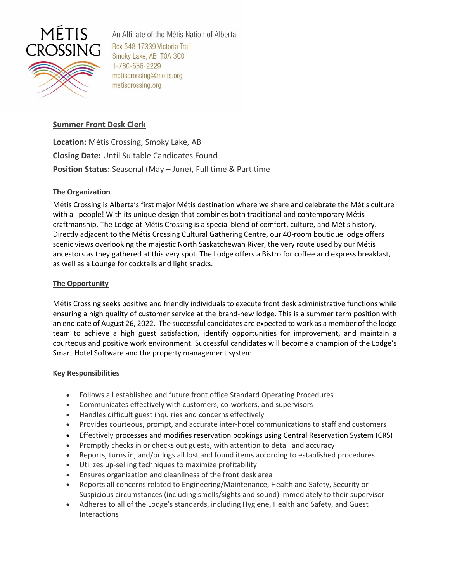

An Affiliate of the Métis Nation of Alberta Box 548 17339 Victoria Trail Smoky Lake, AB T0A 3C0 1-780-656-2229 metiscrossing@metis.org metiscrossing.org

## **Summer Front Desk Clerk**

**Location:** Métis Crossing, Smoky Lake, AB **Closing Date:** Until Suitable Candidates Found **Position Status:** Seasonal (May – June), Full time & Part time

## **The Organization**

Métis Crossing is Alberta's first major Métis destination where we share and celebrate the Métis culture with all people! With its unique design that combines both traditional and contemporary Métis craftmanship, The Lodge at Métis Crossing is a special blend of comfort, culture, and Métis history. Directly adjacent to the Métis Crossing Cultural Gathering Centre, our 40-room boutique lodge offers scenic views overlooking the majestic North Saskatchewan River, the very route used by our Métis ancestors as they gathered at this very spot. The Lodge offers a Bistro for coffee and express breakfast, as well as a Lounge for cocktails and light snacks.

# **The Opportunity**

Métis Crossing seeks positive and friendly individuals to execute front desk administrative functions while ensuring a high quality of customer service at the brand-new lodge. This is a summer term position with an end date of August 26, 2022. The successful candidates are expected to work as a member of the lodge team to achieve a high guest satisfaction, identify opportunities for improvement, and maintain a courteous and positive work environment. Successful candidates will become a champion of the Lodge's Smart Hotel Software and the property management system.

## **Key Responsibilities**

- Follows all established and future front office Standard Operating Procedures
- Communicates effectively with customers, co-workers, and supervisors
- Handles difficult guest inquiries and concerns effectively
- Provides courteous, prompt, and accurate inter-hotel communications to staff and customers
- Effectively processes and modifies reservation bookings using Central Reservation System (CRS)
- Promptly checks in or checks out guests, with attention to detail and accuracy
- Reports, turns in, and/or logs all lost and found items according to established procedures
- Utilizes up-selling techniques to maximize profitability
- Ensures organization and cleanliness of the front desk area
- Reports all concerns related to Engineering/Maintenance, Health and Safety, Security or Suspicious circumstances (including smells/sights and sound) immediately to their supervisor
- Adheres to all of the Lodge's standards, including Hygiene, Health and Safety, and Guest Interactions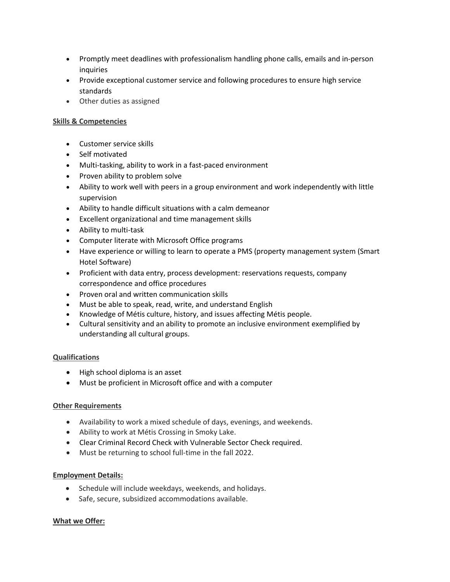- Promptly meet deadlines with professionalism handling phone calls, emails and in-person inquiries
- Provide exceptional customer service and following procedures to ensure high service standards
- Other duties as assigned

## **Skills & Competencies**

- Customer service skills
- Self motivated
- Multi-tasking, ability to work in a fast-paced environment
- Proven ability to problem solve
- Ability to work well with peers in a group environment and work independently with little supervision
- Ability to handle difficult situations with a calm demeanor
- Excellent organizational and time management skills
- Ability to multi-task
- Computer literate with Microsoft Office programs
- Have experience or willing to learn to operate a PMS (property management system (Smart Hotel Software)
- Proficient with data entry, process development: reservations requests, company correspondence and office procedures
- Proven oral and written communication skills
- Must be able to speak, read, write, and understand English
- Knowledge of Métis culture, history, and issues affecting Métis people.
- Cultural sensitivity and an ability to promote an inclusive environment exemplified by understanding all cultural groups.

### **Qualifications**

- High school diploma is an asset
- Must be proficient in Microsoft office and with a computer

### **Other Requirements**

- Availability to work a mixed schedule of days, evenings, and weekends.
- Ability to work at Métis Crossing in Smoky Lake.
- Clear Criminal Record Check with Vulnerable Sector Check required.
- Must be returning to school full-time in the fall 2022.

### **Employment Details:**

- Schedule will include weekdays, weekends, and holidays.
- Safe, secure, subsidized accommodations available.

### **What we Offer:**